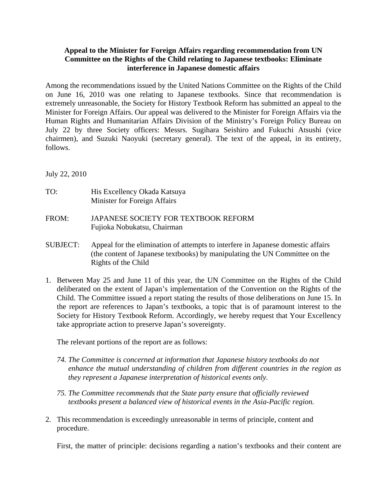## **Appeal to the Minister for Foreign Affairs regarding recommendation from UN Committee on the Rights of the Child relating to Japanese textbooks: Eliminate interference in Japanese domestic affairs**

Among the recommendations issued by the United Nations Committee on the Rights of the Child on June 16, 2010 was one relating to Japanese textbooks. Since that recommendation is extremely unreasonable, the Society for History Textbook Reform has submitted an appeal to the Minister for Foreign Affairs. Our appeal was delivered to the Minister for Foreign Affairs via the Human Rights and Humanitarian Affairs Division of the Ministry's Foreign Policy Bureau on July 22 by three Society officers: Messrs. Sugihara Seishiro and Fukuchi Atsushi (vice chairmen), and Suzuki Naoyuki (secretary general). The text of the appeal, in its entirety, follows.

July 22, 2010

- TO: His Excellency Okada Katsuya Minister for Foreign Affairs
- FROM: JAPANESE SOCIETY FOR TEXTBOOK REFORM Fujioka Nobukatsu, Chairman
- SUBJECT: Appeal for the elimination of attempts to interfere in Japanese domestic affairs (the content of Japanese textbooks) by manipulating the UN Committee on the Rights of the Child
- 1. Between May 25 and June 11 of this year, the UN Committee on the Rights of the Child deliberated on the extent of Japan's implementation of the Convention on the Rights of the Child. The Committee issued a report stating the results of those deliberations on June 15. In the report are references to Japan's textbooks, a topic that is of paramount interest to the Society for History Textbook Reform. Accordingly, we hereby request that Your Excellency take appropriate action to preserve Japan's sovereignty.

The relevant portions of the report are as follows:

- *74. The Committee is concerned at information that Japanese history textbooks do not enhance the mutual understanding of children from different countries in the region as they represent a Japanese interpretation of historical events only.*
- *75. The Committee recommends that the State party ensure that officially reviewed textbooks present a balanced view of historical events in the Asia-Pacific region.*
- 2. This recommendation is exceedingly unreasonable in terms of principle, content and procedure.

First, the matter of principle: decisions regarding a nation's textbooks and their content are